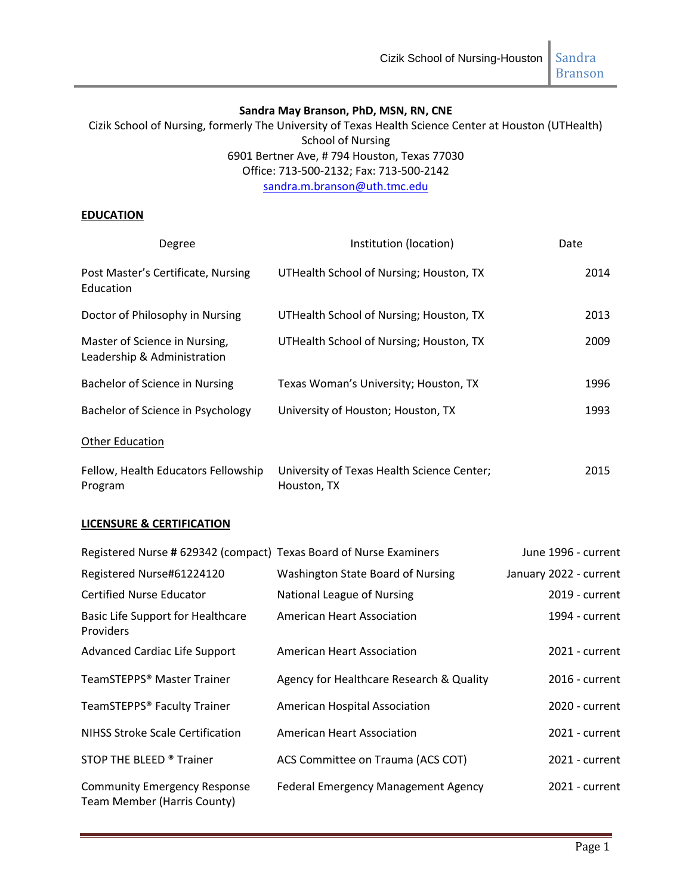#### **Sandra May Branson, PhD, MSN, RN, CNE**

Cizik School of Nursing, formerly The University of Texas Health Science Center at Houston (UTHealth) School of Nursing 6901 Bertner Ave, # 794 Houston, Texas 77030 Office: 713-500-2132; Fax: 713-500-2142 [sandra.m.branson@uth.tmc.edu](mailto:sandra.m.branson@uth.tmc.edu)

#### **EDUCATION**

| Degree                                                       | Institution (location)                                    | Date |
|--------------------------------------------------------------|-----------------------------------------------------------|------|
| Post Master's Certificate, Nursing<br>Education              | UTHealth School of Nursing; Houston, TX                   | 2014 |
| Doctor of Philosophy in Nursing                              | UTHealth School of Nursing; Houston, TX                   | 2013 |
| Master of Science in Nursing,<br>Leadership & Administration | UTHealth School of Nursing; Houston, TX                   | 2009 |
| Bachelor of Science in Nursing                               | Texas Woman's University; Houston, TX                     | 1996 |
| Bachelor of Science in Psychology                            | University of Houston; Houston, TX                        | 1993 |
| <b>Other Education</b>                                       |                                                           |      |
| Fellow, Health Educators Fellowship<br>Program               | University of Texas Health Science Center;<br>Houston, TX | 2015 |

#### **LICENSURE & CERTIFICATION**

| Registered Nurse # 629342 (compact) Texas Board of Nurse Examiners |                                            | June 1996 - current    |
|--------------------------------------------------------------------|--------------------------------------------|------------------------|
| Registered Nurse#61224120                                          | Washington State Board of Nursing          | January 2022 - current |
| <b>Certified Nurse Educator</b>                                    | National League of Nursing                 | 2019 - current         |
| <b>Basic Life Support for Healthcare</b><br><b>Providers</b>       | American Heart Association                 | 1994 - current         |
| <b>Advanced Cardiac Life Support</b>                               | <b>American Heart Association</b>          | 2021 - current         |
| TeamSTEPPS® Master Trainer                                         | Agency for Healthcare Research & Quality   | 2016 - current         |
| TeamSTEPPS® Faculty Trainer                                        | American Hospital Association              | 2020 - current         |
| <b>NIHSS Stroke Scale Certification</b>                            | <b>American Heart Association</b>          | 2021 - current         |
| STOP THE BLEED ® Trainer                                           | ACS Committee on Trauma (ACS COT)          | 2021 - current         |
| <b>Community Emergency Response</b><br>Team Member (Harris County) | <b>Federal Emergency Management Agency</b> | 2021 - current         |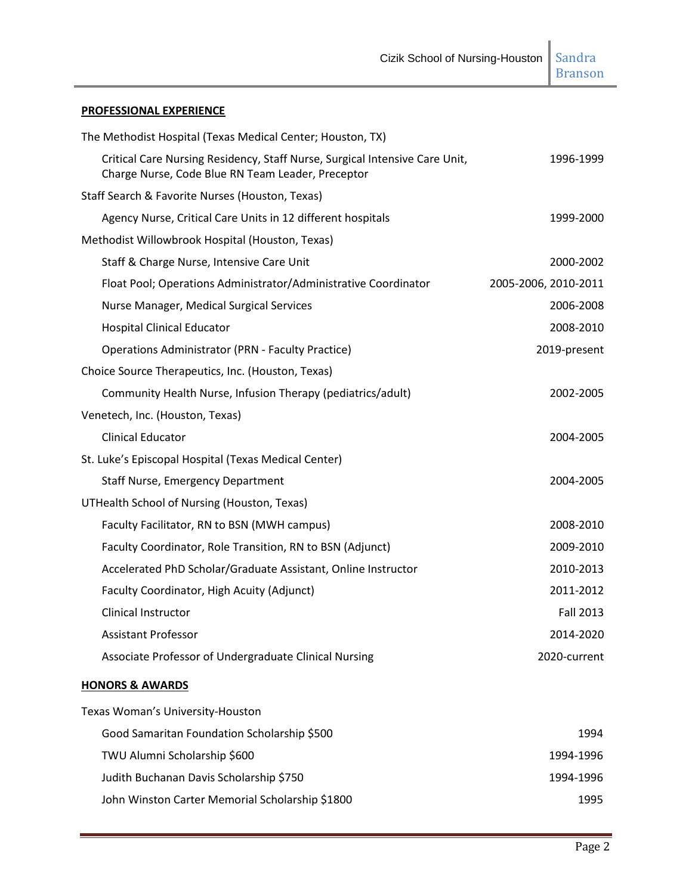Branson

## **PROFESSIONAL EXPERIENCE**

| The Methodist Hospital (Texas Medical Center; Houston, TX)                                                                       |                      |
|----------------------------------------------------------------------------------------------------------------------------------|----------------------|
| Critical Care Nursing Residency, Staff Nurse, Surgical Intensive Care Unit,<br>Charge Nurse, Code Blue RN Team Leader, Preceptor | 1996-1999            |
| Staff Search & Favorite Nurses (Houston, Texas)                                                                                  |                      |
| Agency Nurse, Critical Care Units in 12 different hospitals                                                                      | 1999-2000            |
| Methodist Willowbrook Hospital (Houston, Texas)                                                                                  |                      |
| Staff & Charge Nurse, Intensive Care Unit                                                                                        | 2000-2002            |
| Float Pool; Operations Administrator/Administrative Coordinator                                                                  | 2005-2006, 2010-2011 |
| Nurse Manager, Medical Surgical Services                                                                                         | 2006-2008            |
| <b>Hospital Clinical Educator</b>                                                                                                | 2008-2010            |
| <b>Operations Administrator (PRN - Faculty Practice)</b>                                                                         | 2019-present         |
| Choice Source Therapeutics, Inc. (Houston, Texas)                                                                                |                      |
| Community Health Nurse, Infusion Therapy (pediatrics/adult)                                                                      | 2002-2005            |
| Venetech, Inc. (Houston, Texas)                                                                                                  |                      |
| <b>Clinical Educator</b>                                                                                                         | 2004-2005            |
| St. Luke's Episcopal Hospital (Texas Medical Center)                                                                             |                      |
| <b>Staff Nurse, Emergency Department</b>                                                                                         | 2004-2005            |
| UTHealth School of Nursing (Houston, Texas)                                                                                      |                      |
| Faculty Facilitator, RN to BSN (MWH campus)                                                                                      | 2008-2010            |
| Faculty Coordinator, Role Transition, RN to BSN (Adjunct)                                                                        | 2009-2010            |
| Accelerated PhD Scholar/Graduate Assistant, Online Instructor                                                                    | 2010-2013            |
| Faculty Coordinator, High Acuity (Adjunct)                                                                                       | 2011-2012            |
| Clinical Instructor                                                                                                              | <b>Fall 2013</b>     |
| <b>Assistant Professor</b>                                                                                                       | 2014-2020            |
| Associate Professor of Undergraduate Clinical Nursing                                                                            | 2020-current         |
| <b>HONORS &amp; AWARDS</b>                                                                                                       |                      |
| Texas Woman's University-Houston                                                                                                 |                      |
| Good Samaritan Foundation Scholarship \$500                                                                                      | 1994                 |
| TWU Alumni Scholarship \$600                                                                                                     | 1994-1996            |
| Judith Buchanan Davis Scholarship \$750                                                                                          | 1994-1996            |
| John Winston Carter Memorial Scholarship \$1800                                                                                  | 1995                 |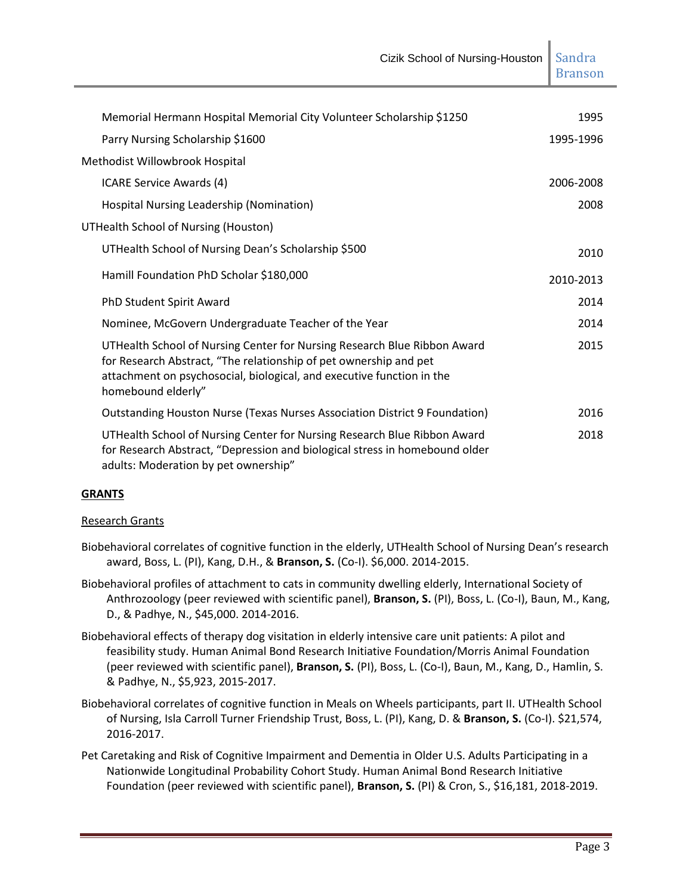| Memorial Hermann Hospital Memorial City Volunteer Scholarship \$1250                                                                                                                                                                         | 1995      |
|----------------------------------------------------------------------------------------------------------------------------------------------------------------------------------------------------------------------------------------------|-----------|
| Parry Nursing Scholarship \$1600                                                                                                                                                                                                             | 1995-1996 |
| Methodist Willowbrook Hospital                                                                                                                                                                                                               |           |
| ICARE Service Awards (4)                                                                                                                                                                                                                     | 2006-2008 |
| Hospital Nursing Leadership (Nomination)                                                                                                                                                                                                     | 2008      |
| UTHealth School of Nursing (Houston)                                                                                                                                                                                                         |           |
| UTHealth School of Nursing Dean's Scholarship \$500                                                                                                                                                                                          | 2010      |
| Hamill Foundation PhD Scholar \$180,000                                                                                                                                                                                                      | 2010-2013 |
| PhD Student Spirit Award                                                                                                                                                                                                                     | 2014      |
| Nominee, McGovern Undergraduate Teacher of the Year                                                                                                                                                                                          | 2014      |
| UTHealth School of Nursing Center for Nursing Research Blue Ribbon Award<br>for Research Abstract, "The relationship of pet ownership and pet<br>attachment on psychosocial, biological, and executive function in the<br>homebound elderly" | 2015      |
| Outstanding Houston Nurse (Texas Nurses Association District 9 Foundation)                                                                                                                                                                   | 2016      |
| UTHealth School of Nursing Center for Nursing Research Blue Ribbon Award<br>for Research Abstract, "Depression and biological stress in homebound older<br>adults: Moderation by pet ownership"                                              | 2018      |

## **GRANTS**

## Research Grants

- Biobehavioral correlates of cognitive function in the elderly, UTHealth School of Nursing Dean's research award, Boss, L. (PI), Kang, D.H., & **Branson, S.** (Co-I). \$6,000. 2014-2015.
- Biobehavioral profiles of attachment to cats in community dwelling elderly, International Society of Anthrozoology (peer reviewed with scientific panel), **Branson, S.** (PI), Boss, L. (Co-I), Baun, M., Kang, D., & Padhye, N., \$45,000. 2014-2016.
- Biobehavioral effects of therapy dog visitation in elderly intensive care unit patients: A pilot and feasibility study. Human Animal Bond Research Initiative Foundation/Morris Animal Foundation (peer reviewed with scientific panel), **Branson, S.** (PI), Boss, L. (Co-I), Baun, M., Kang, D., Hamlin, S. & Padhye, N., \$5,923, 2015-2017.
- Biobehavioral correlates of cognitive function in Meals on Wheels participants, part II. UTHealth School of Nursing, Isla Carroll Turner Friendship Trust, Boss, L. (PI), Kang, D. & **Branson, S.** (Co-I). \$21,574, 2016-2017.
- Pet Caretaking and Risk of Cognitive Impairment and Dementia in Older U.S. Adults Participating in a Nationwide Longitudinal Probability Cohort Study. Human Animal Bond Research Initiative Foundation (peer reviewed with scientific panel), **Branson, S.** (PI) & Cron, S., \$16,181, 2018-2019.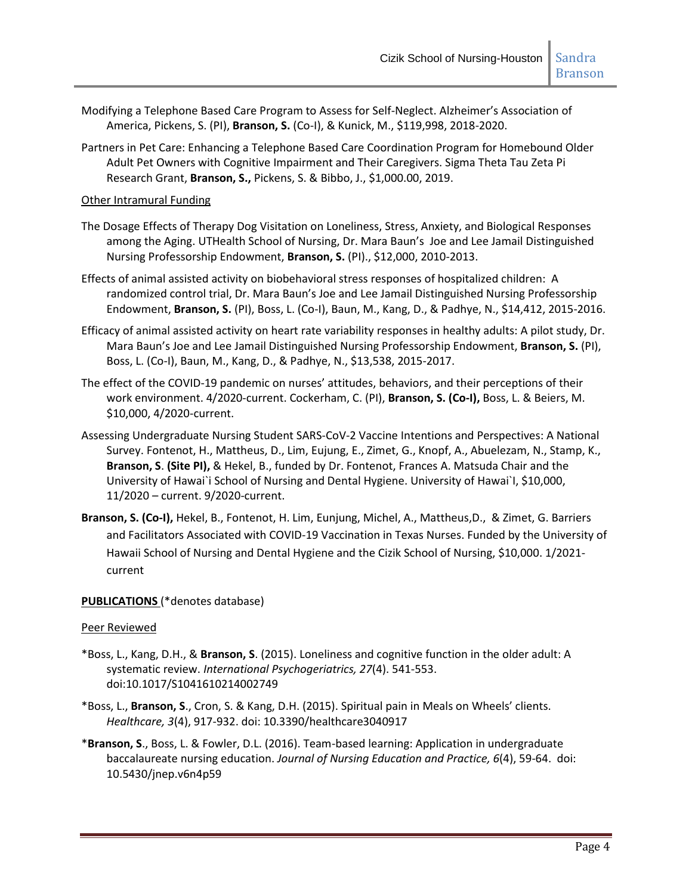- Modifying a Telephone Based Care Program to Assess for Self-Neglect. Alzheimer's Association of America, Pickens, S. (PI), **Branson, S.** (Co-I), & Kunick, M., \$119,998, 2018-2020.
- Partners in Pet Care: Enhancing a Telephone Based Care Coordination Program for Homebound Older Adult Pet Owners with Cognitive Impairment and Their Caregivers. Sigma Theta Tau Zeta Pi Research Grant, **Branson, S.,** Pickens, S. & Bibbo, J., \$1,000.00, 2019.

### Other Intramural Funding

- The Dosage Effects of Therapy Dog Visitation on Loneliness, Stress, Anxiety, and Biological Responses among the Aging. UTHealth School of Nursing, Dr. Mara Baun's Joe and Lee Jamail Distinguished Nursing Professorship Endowment, **Branson, S.** (PI)., \$12,000, 2010-2013.
- Effects of animal assisted activity on biobehavioral stress responses of hospitalized children: A randomized control trial, Dr. Mara Baun's Joe and Lee Jamail Distinguished Nursing Professorship Endowment, **Branson, S.** (PI), Boss, L. (Co-I), Baun, M., Kang, D., & Padhye, N., \$14,412, 2015-2016.
- Efficacy of animal assisted activity on heart rate variability responses in healthy adults: A pilot study, Dr. Mara Baun's Joe and Lee Jamail Distinguished Nursing Professorship Endowment, **Branson, S.** (PI), Boss, L. (Co-I), Baun, M., Kang, D., & Padhye, N., \$13,538, 2015-2017.
- The effect of the COVID-19 pandemic on nurses' attitudes, behaviors, and their perceptions of their work environment. 4/2020-current. Cockerham, C. (PI), **Branson, S. (Co-I),** Boss, L. & Beiers, M. \$10,000, 4/2020-current.
- Assessing Undergraduate Nursing Student SARS-CoV-2 Vaccine Intentions and Perspectives: A National Survey. Fontenot, H., Mattheus, D., Lim, Eujung, E., Zimet, G., Knopf, A., Abuelezam, N., Stamp, K., **Branson, S**. **(Site PI),** & Hekel, B., funded by Dr. Fontenot, Frances A. Matsuda Chair and the University of Hawai`i School of Nursing and Dental Hygiene. University of Hawai`I, \$10,000, 11/2020 – current. 9/2020-current.
- **Branson, S. (Co-I),** Hekel, B., Fontenot, H. Lim, Eunjung, Michel, A., Mattheus,D., & Zimet, G. Barriers and Facilitators Associated with COVID-19 Vaccination in Texas Nurses. Funded by the University of Hawaii School of Nursing and Dental Hygiene and the Cizik School of Nursing, \$10,000. 1/2021 current

## **PUBLICATIONS** (\*denotes database)

#### Peer Reviewed

- \*Boss, L., Kang, D.H., & **Branson, S**. (2015). Loneliness and cognitive function in the older adult: A systematic review. *International Psychogeriatrics, 27*(4). 541-553. doi:10.1017/S1041610214002749
- \*Boss, L., **Branson, S**., Cron, S. & Kang, D.H. (2015). Spiritual pain in Meals on Wheels' clients. *Healthcare, 3*(4), 917-932. doi: 10.3390/healthcare3040917
- \***Branson, S**., Boss, L. & Fowler, D.L. (2016). Team-based learning: Application in undergraduate baccalaureate nursing education. *Journal of Nursing Education and Practice, 6*(4), 59-64. doi: 10.5430/jnep.v6n4p59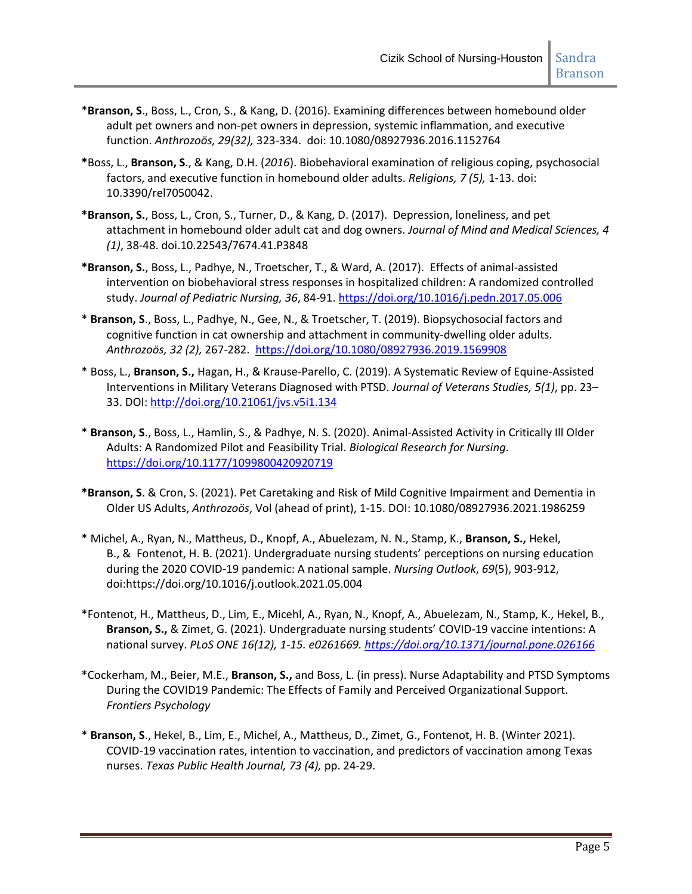- \***Branson, S**., Boss, L., Cron, S., & Kang, D. (2016). Examining differences between homebound older adult pet owners and non-pet owners in depression, systemic inflammation, and executive function. *Anthrozoös, 29(32),* 323-334. doi: 10.1080/08927936.2016.1152764
- **\***Boss, L., **Branson, S**., & Kang, D.H. (*2016*). Biobehavioral examination of religious coping, psychosocial factors, and executive function in homebound older adults. *Religions, 7 (5),* 1-13. doi: 10.3390/rel7050042.
- **\*Branson, S.**, Boss, L., Cron, S., Turner, D., & Kang, D. (2017). Depression, loneliness, and pet attachment in homebound older adult cat and dog owners. *Journal of Mind and Medical Sciences, 4 (1)*, 38-48. doi.10.22543/7674.41.P3848
- **\*Branson, S.**, Boss, L., Padhye, N., Troetscher, T., & Ward, A. (2017). Effects of animal-assisted intervention on biobehavioral stress responses in hospitalized children: A randomized controlled study. *Journal of Pediatric Nursing, 36*, 84-91. <https://doi.org/10.1016/j.pedn.2017.05.006>
- \* **Branson, S**., Boss, L., Padhye, N., Gee, N., & Troetscher, T. (2019). Biopsychosocial factors and cognitive function in cat ownership and attachment in community-dwelling older adults. *Anthrozoös, 32 (2),* 267-282. <https://doi.org/10.1080/08927936.2019.1569908>
- \* Boss, L., **Branson, S.,** Hagan, H., & Krause-Parello, C. (2019). A Systematic Review of Equine-Assisted Interventions in Military Veterans Diagnosed with PTSD. *Journal of Veterans Studies, 5(1)*, pp. 23– 33. DOI:<http://doi.org/10.21061/jvs.v5i1.134>
- \* **Branson, S**., Boss, L., Hamlin, S., & Padhye, N. S. (2020). Animal-Assisted Activity in Critically Ill Older Adults: A Randomized Pilot and Feasibility Trial. *Biological Research for Nursing*. <https://doi.org/10.1177/1099800420920719>
- **\*Branson, S**. & Cron, S. (2021). Pet Caretaking and Risk of Mild Cognitive Impairment and Dementia in Older US Adults, *Anthrozoös*, Vol (ahead of print), 1-15. DOI: 10.1080/08927936.2021.1986259
- \* Michel, A., Ryan, N., Mattheus, D., Knopf, A., Abuelezam, N. N., Stamp, K., **Branson, S.,** Hekel, B., & Fontenot, H. B. (2021). Undergraduate nursing students' perceptions on nursing education during the 2020 COVID-19 pandemic: A national sample. *Nursing Outlook*, *69*(5), 903-912, doi:https://doi.org/10.1016/j.outlook.2021.05.004
- \*Fontenot, H., Mattheus, D., Lim, E., Micehl, A., Ryan, N., Knopf, A., Abuelezam, N., Stamp, K., Hekel, B., **Branson, S.,** & Zimet, G. (2021). Undergraduate nursing students' COVID-19 vaccine intentions: A national survey. *PLoS ONE 16(12), 1-15. e0261669. <https://doi.org/10.1371/journal.pone.026166>*
- \*Cockerham, M., Beier, M.E., **Branson, S.,** and Boss, L. (in press). Nurse Adaptability and PTSD Symptoms During the COVID19 Pandemic: The Effects of Family and Perceived Organizational Support. *Frontiers Psychology*
- \* **Branson, S**., Hekel, B., Lim, E., Michel, A., Mattheus, D., Zimet, G., Fontenot, H. B. (Winter 2021). COVID-19 vaccination rates, intention to vaccination, and predictors of vaccination among Texas nurses. *Texas Public Health Journal, 73 (4),* pp. 24-29.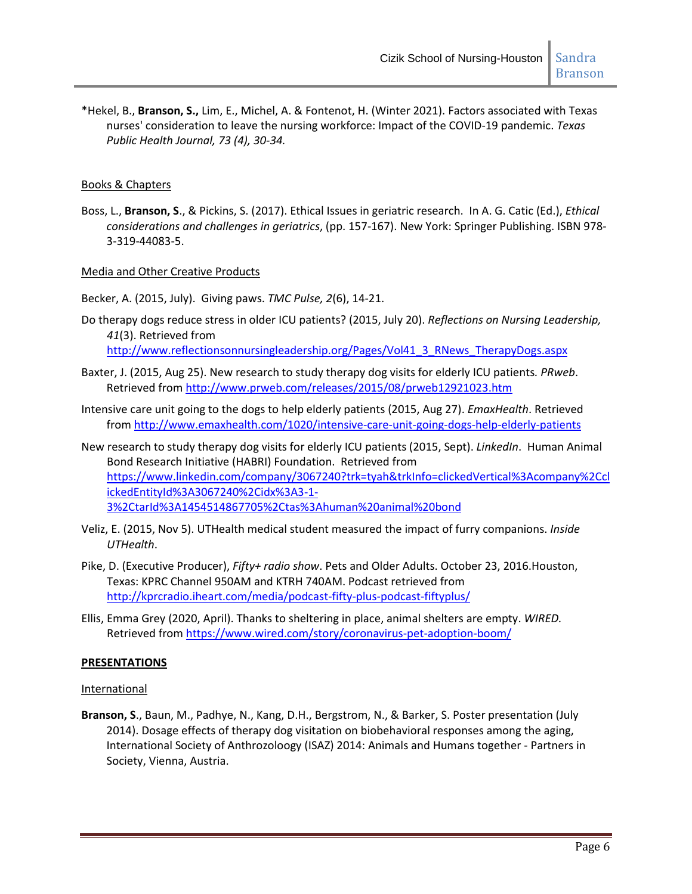\*Hekel, B., **Branson, S.,** Lim, E., Michel, A. & Fontenot, H. (Winter 2021). Factors associated with Texas nurses' consideration to leave the nursing workforce: Impact of the COVID-19 pandemic. *Texas Public Health Journal, 73 (4), 30-34.*

### Books & Chapters

Boss, L., **Branson, S**., & Pickins, S. (2017). Ethical Issues in geriatric research. In A. G. Catic (Ed.), *Ethical considerations and challenges in geriatrics*, (pp. 157-167). New York: Springer Publishing. ISBN 978- 3-319-44083-5.

#### Media and Other Creative Products

Becker, A. (2015, July). Giving paws. *TMC Pulse, 2*(6), 14-21.

- Do therapy dogs reduce stress in older ICU patients? (2015, July 20). *Reflections on Nursing Leadership, 41*(3). Retrieved from [http://www.reflectionsonnursingleadership.org/Pages/Vol41\\_3\\_RNews\\_TherapyDogs.aspx](http://www.reflectionsonnursingleadership.org/Pages/Vol41_3_RNews_TherapyDogs.aspx)
- Baxter, J. (2015, Aug 25). New research to study therapy dog visits for elderly ICU patients*. PRweb*. Retrieved from<http://www.prweb.com/releases/2015/08/prweb12921023.htm>
- Intensive care unit going to the dogs to help elderly patients (2015, Aug 27). *EmaxHealth*. Retrieved fro[m http://www.emaxhealth.com/1020/intensive-care-unit-going-dogs-help-elderly-patients](http://www.emaxhealth.com/1020/intensive-care-unit-going-dogs-help-elderly-patients)
- New research to study therapy dog visits for elderly ICU patients (2015, Sept). *LinkedIn*. Human Animal Bond Research Initiative (HABRI) Foundation. Retrieved from [https://www.linkedin.com/company/3067240?trk=tyah&trkInfo=clickedVertical%3Acompany%2Ccl](https://www.linkedin.com/company/3067240?trk=tyah&trkInfo=clickedVertical%3Acompany%2CclickedEntityId%3A3067240%2Cidx%3A3-1-3%2CtarId%3A1454514867705%2Ctas%3Ahuman%20animal%20bond) [ickedEntityId%3A3067240%2Cidx%3A3-1-](https://www.linkedin.com/company/3067240?trk=tyah&trkInfo=clickedVertical%3Acompany%2CclickedEntityId%3A3067240%2Cidx%3A3-1-3%2CtarId%3A1454514867705%2Ctas%3Ahuman%20animal%20bond) [3%2CtarId%3A1454514867705%2Ctas%3Ahuman%20animal%20bond](https://www.linkedin.com/company/3067240?trk=tyah&trkInfo=clickedVertical%3Acompany%2CclickedEntityId%3A3067240%2Cidx%3A3-1-3%2CtarId%3A1454514867705%2Ctas%3Ahuman%20animal%20bond)
- Veliz, E. (2015, Nov 5). UTHealth medical student measured the impact of furry companions. *Inside UTHealth*.
- Pike, D. (Executive Producer), *Fifty+ radio show*. Pets and Older Adults. October 23, 2016.Houston, Texas: KPRC Channel 950AM and KTRH 740AM. Podcast retrieved from <http://kprcradio.iheart.com/media/podcast-fifty-plus-podcast-fiftyplus/>
- Ellis, Emma Grey (2020, April). Thanks to sheltering in place, animal shelters are empty. *WIRED.* Retrieved fro[m https://www.wired.com/story/coronavirus-pet-adoption-boom/](https://www.wired.com/story/coronavirus-pet-adoption-boom/)

#### **PRESENTATIONS**

#### **International**

**Branson, S**., Baun, M., Padhye, N., Kang, D.H., Bergstrom, N., & Barker, S. Poster presentation (July 2014). Dosage effects of therapy dog visitation on biobehavioral responses among the aging, International Society of Anthrozoloogy (ISAZ) 2014: Animals and Humans together - Partners in Society, Vienna, Austria.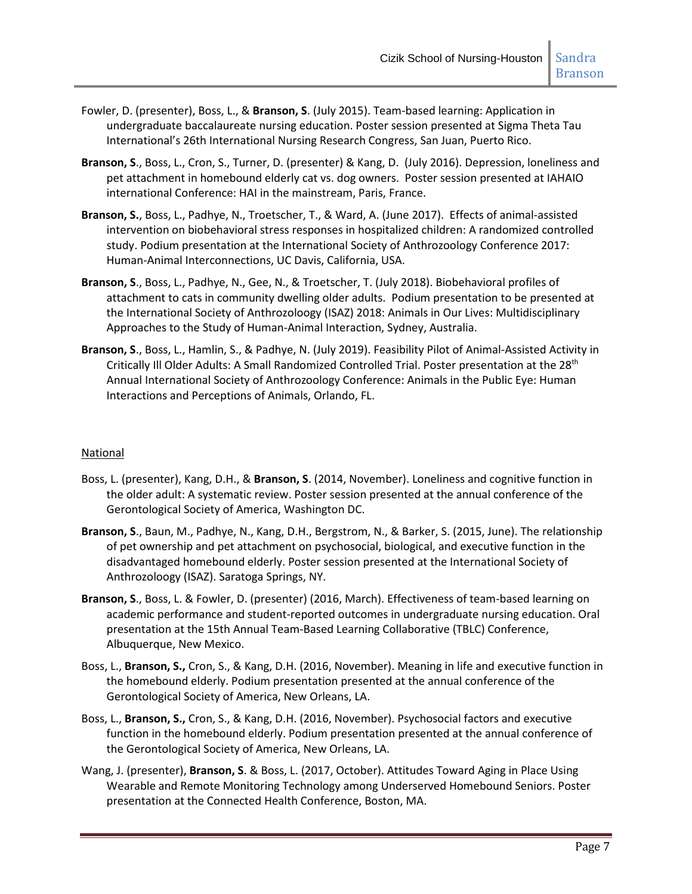- Fowler, D. (presenter), Boss, L., & **Branson, S**. (July 2015). Team-based learning: Application in undergraduate baccalaureate nursing education. Poster session presented at Sigma Theta Tau International's 26th International Nursing Research Congress, San Juan, Puerto Rico.
- **Branson, S**., Boss, L., Cron, S., Turner, D. (presenter) & Kang, D. (July 2016). Depression, loneliness and pet attachment in homebound elderly cat vs. dog owners. Poster session presented at IAHAIO international Conference: HAI in the mainstream, Paris, France.
- **Branson, S.**, Boss, L., Padhye, N., Troetscher, T., & Ward, A. (June 2017). Effects of animal-assisted intervention on biobehavioral stress responses in hospitalized children: A randomized controlled study. Podium presentation at the International Society of Anthrozoology Conference 2017: Human-Animal Interconnections, UC Davis, California, USA.
- **Branson, S**., Boss, L., Padhye, N., Gee, N., & Troetscher, T. (July 2018). Biobehavioral profiles of attachment to cats in community dwelling older adults. Podium presentation to be presented at the International Society of Anthrozoloogy (ISAZ) 2018: Animals in Our Lives: Multidisciplinary Approaches to the Study of Human-Animal Interaction, Sydney, Australia.
- **Branson, S**., Boss, L., Hamlin, S., & Padhye, N. (July 2019). Feasibility Pilot of Animal-Assisted Activity in Critically III Older Adults: A Small Randomized Controlled Trial. Poster presentation at the 28<sup>th</sup> Annual International Society of Anthrozoology Conference: Animals in the Public Eye: Human Interactions and Perceptions of Animals, Orlando, FL.

## **National**

- Boss, L. (presenter), Kang, D.H., & **Branson, S**. (2014, November). Loneliness and cognitive function in the older adult: A systematic review. Poster session presented at the annual conference of the Gerontological Society of America, Washington DC.
- **Branson, S**., Baun, M., Padhye, N., Kang, D.H., Bergstrom, N., & Barker, S. (2015, June). The relationship of pet ownership and pet attachment on psychosocial, biological, and executive function in the disadvantaged homebound elderly. Poster session presented at the International Society of Anthrozoloogy (ISAZ). Saratoga Springs, NY.
- **Branson, S**., Boss, L. & Fowler, D. (presenter) (2016, March). Effectiveness of team-based learning on academic performance and student-reported outcomes in undergraduate nursing education. Oral presentation at the 15th Annual Team-Based Learning Collaborative (TBLC) Conference, Albuquerque, New Mexico.
- Boss, L., **Branson, S.,** Cron, S., & Kang, D.H. (2016, November). Meaning in life and executive function in the homebound elderly. Podium presentation presented at the annual conference of the Gerontological Society of America, New Orleans, LA.
- Boss, L., **Branson, S.,** Cron, S., & Kang, D.H. (2016, November). Psychosocial factors and executive function in the homebound elderly. Podium presentation presented at the annual conference of the Gerontological Society of America, New Orleans, LA.
- Wang, J. (presenter), **Branson, S**. & Boss, L. (2017, October). Attitudes Toward Aging in Place Using Wearable and Remote Monitoring Technology among Underserved Homebound Seniors. Poster presentation at the Connected Health Conference, Boston, MA.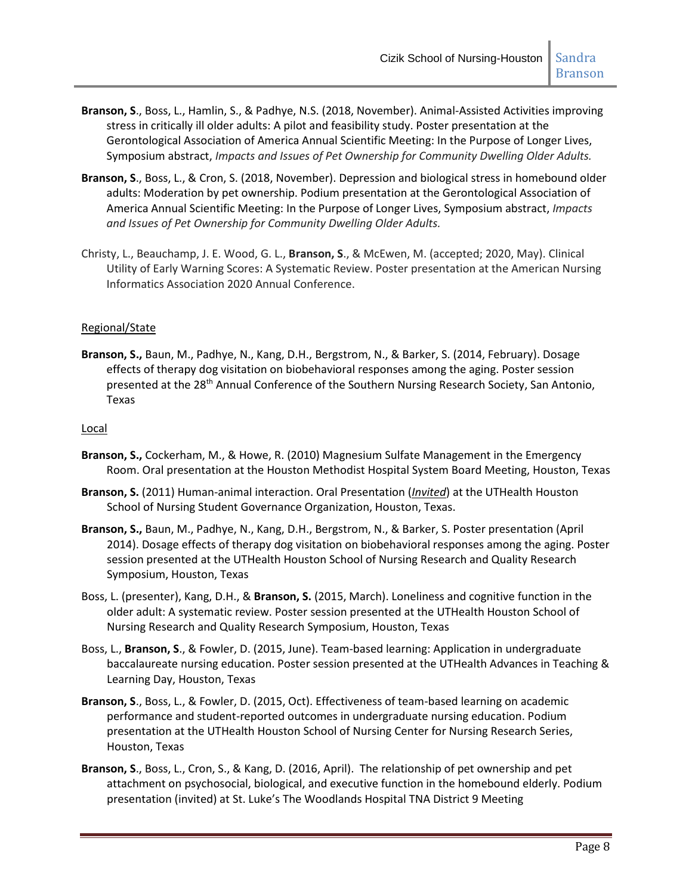- **Branson, S**., Boss, L., Hamlin, S., & Padhye, N.S. (2018, November). Animal-Assisted Activities improving stress in critically ill older adults: A pilot and feasibility study. Poster presentation at the Gerontological Association of America Annual Scientific Meeting: In the Purpose of Longer Lives, Symposium abstract, *Impacts and Issues of Pet Ownership for Community Dwelling Older Adults.*
- **Branson, S**., Boss, L., & Cron, S. (2018, November). Depression and biological stress in homebound older adults: Moderation by pet ownership. Podium presentation at the Gerontological Association of America Annual Scientific Meeting: In the Purpose of Longer Lives, Symposium abstract, *Impacts and Issues of Pet Ownership for Community Dwelling Older Adults.*
- Christy, L., Beauchamp, J. E. Wood, G. L., **Branson, S**., & McEwen, M. (accepted; 2020, May). Clinical Utility of Early Warning Scores: A Systematic Review. Poster presentation at the American Nursing Informatics Association 2020 Annual Conference.

## Regional/State

**Branson, S.,** Baun, M., Padhye, N., Kang, D.H., Bergstrom, N., & Barker, S. (2014, February). Dosage effects of therapy dog visitation on biobehavioral responses among the aging. Poster session presented at the 28<sup>th</sup> Annual Conference of the Southern Nursing Research Society, San Antonio, Texas

## Local

- **Branson, S.,** Cockerham, M., & Howe, R. (2010) Magnesium Sulfate Management in the Emergency Room. Oral presentation at the Houston Methodist Hospital System Board Meeting, Houston, Texas
- **Branson, S.** (2011) Human-animal interaction. Oral Presentation (*Invited*) at the UTHealth Houston School of Nursing Student Governance Organization, Houston, Texas.
- **Branson, S.,** Baun, M., Padhye, N., Kang, D.H., Bergstrom, N., & Barker, S. Poster presentation (April 2014). Dosage effects of therapy dog visitation on biobehavioral responses among the aging. Poster session presented at the UTHealth Houston School of Nursing Research and Quality Research Symposium, Houston, Texas
- Boss, L. (presenter), Kang, D.H., & **Branson, S.** (2015, March). Loneliness and cognitive function in the older adult: A systematic review. Poster session presented at the UTHealth Houston School of Nursing Research and Quality Research Symposium, Houston, Texas
- Boss, L., **Branson, S**., & Fowler, D. (2015, June). Team-based learning: Application in undergraduate baccalaureate nursing education. Poster session presented at the UTHealth Advances in Teaching & Learning Day, Houston, Texas
- **Branson, S**., Boss, L., & Fowler, D. (2015, Oct). Effectiveness of team-based learning on academic performance and student-reported outcomes in undergraduate nursing education. Podium presentation at the UTHealth Houston School of Nursing Center for Nursing Research Series, Houston, Texas
- **Branson, S**., Boss, L., Cron, S., & Kang, D. (2016, April). The relationship of pet ownership and pet attachment on psychosocial, biological, and executive function in the homebound elderly. Podium presentation (invited) at St. Luke's The Woodlands Hospital TNA District 9 Meeting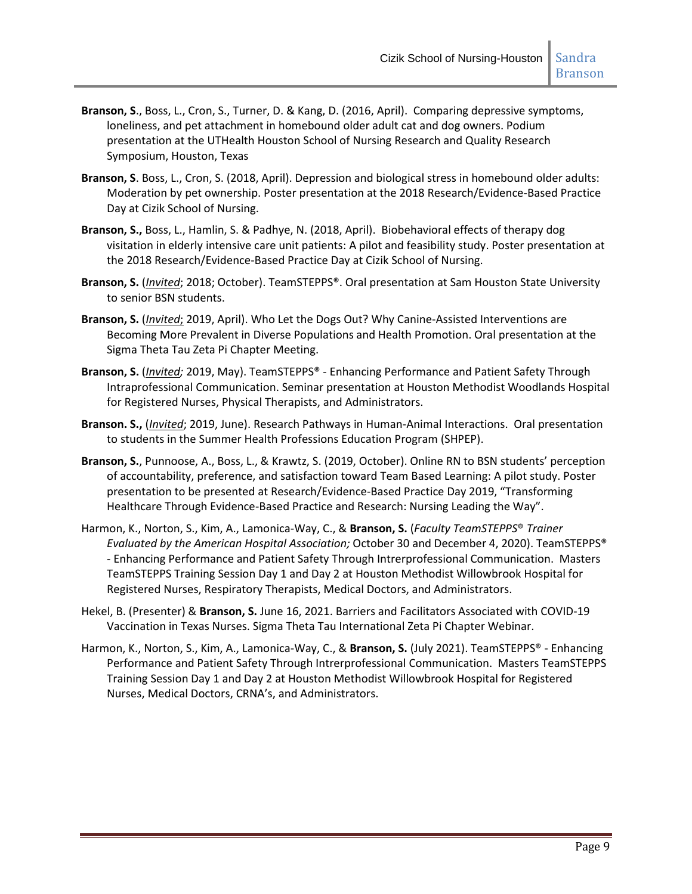- **Branson, S**., Boss, L., Cron, S., Turner, D. & Kang, D. (2016, April). Comparing depressive symptoms, loneliness, and pet attachment in homebound older adult cat and dog owners. Podium presentation at the UTHealth Houston School of Nursing Research and Quality Research Symposium, Houston, Texas
- **Branson, S**. Boss, L., Cron, S. (2018, April). Depression and biological stress in homebound older adults: Moderation by pet ownership. Poster presentation at the 2018 Research/Evidence-Based Practice Day at Cizik School of Nursing.
- **Branson, S.,** Boss, L., Hamlin, S. & Padhye, N. (2018, April). Biobehavioral effects of therapy dog visitation in elderly intensive care unit patients: A pilot and feasibility study. Poster presentation at the 2018 Research/Evidence-Based Practice Day at Cizik School of Nursing.
- **Branson, S.** (*Invited*; 2018; October). TeamSTEPPS®. Oral presentation at Sam Houston State University to senior BSN students.
- **Branson, S.** (*Invited*; 2019, April). Who Let the Dogs Out? Why Canine-Assisted Interventions are Becoming More Prevalent in Diverse Populations and Health Promotion. Oral presentation at the Sigma Theta Tau Zeta Pi Chapter Meeting.
- **Branson, S.** (*Invited;* 2019, May). TeamSTEPPS® Enhancing Performance and Patient Safety Through Intraprofessional Communication. Seminar presentation at Houston Methodist Woodlands Hospital for Registered Nurses, Physical Therapists, and Administrators.
- **Branson. S.,** (*Invited*; 2019, June). Research Pathways in Human-Animal Interactions. Oral presentation to students in the Summer Health Professions Education Program (SHPEP).
- **Branson, S.**, Punnoose, A., Boss, L., & Krawtz, S. (2019, October). Online RN to BSN students' perception of accountability, preference, and satisfaction toward Team Based Learning: A pilot study. Poster presentation to be presented at Research/Evidence-Based Practice Day 2019, "Transforming Healthcare Through Evidence-Based Practice and Research: Nursing Leading the Way".
- Harmon, K., Norton, S., Kim, A., Lamonica-Way, C., & **Branson, S.** (*Faculty TeamSTEPPS*® *Trainer Evaluated by the American Hospital Association;* October 30 and December 4, 2020). TeamSTEPPS® - Enhancing Performance and Patient Safety Through Intrerprofessional Communication. Masters TeamSTEPPS Training Session Day 1 and Day 2 at Houston Methodist Willowbrook Hospital for Registered Nurses, Respiratory Therapists, Medical Doctors, and Administrators.
- Hekel, B. (Presenter) & **Branson, S.** June 16, 2021. Barriers and Facilitators Associated with COVID-19 Vaccination in Texas Nurses. Sigma Theta Tau International Zeta Pi Chapter Webinar.
- Harmon, K., Norton, S., Kim, A., Lamonica-Way, C., & **Branson, S.** (July 2021). TeamSTEPPS® Enhancing Performance and Patient Safety Through Intrerprofessional Communication. Masters TeamSTEPPS Training Session Day 1 and Day 2 at Houston Methodist Willowbrook Hospital for Registered Nurses, Medical Doctors, CRNA's, and Administrators.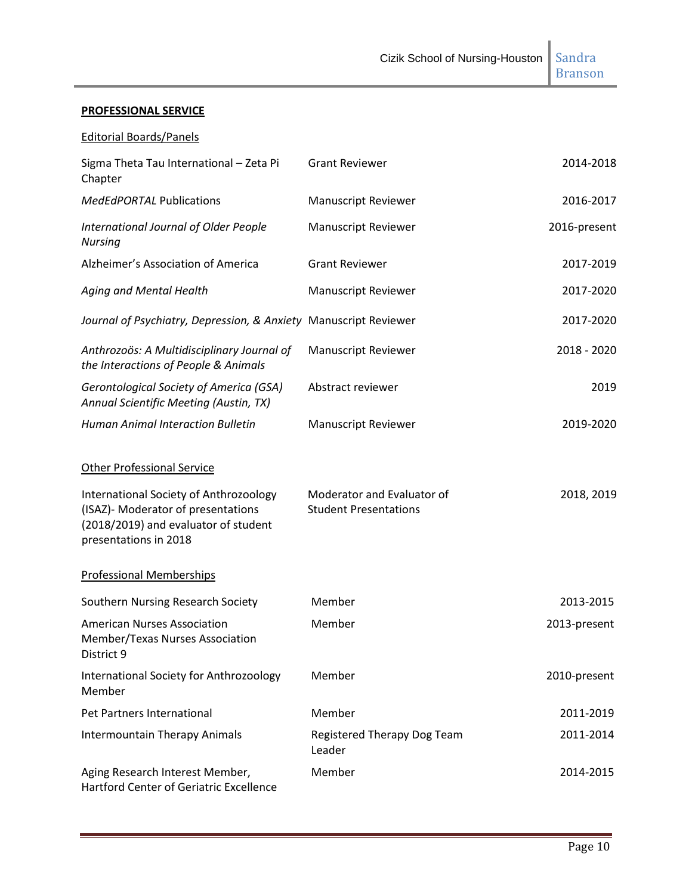Branson

# **PROFESSIONAL SERVICE**

## Editorial Boards/Panels

| Sigma Theta Tau International - Zeta Pi<br>Chapter                                                                                            | <b>Grant Reviewer</b>                                      | 2014-2018    |
|-----------------------------------------------------------------------------------------------------------------------------------------------|------------------------------------------------------------|--------------|
| <b>MedEdPORTAL Publications</b>                                                                                                               | <b>Manuscript Reviewer</b>                                 | 2016-2017    |
| International Journal of Older People<br><b>Nursing</b>                                                                                       | <b>Manuscript Reviewer</b>                                 | 2016-present |
| Alzheimer's Association of America                                                                                                            | <b>Grant Reviewer</b>                                      | 2017-2019    |
| Aging and Mental Health                                                                                                                       | <b>Manuscript Reviewer</b>                                 | 2017-2020    |
| Journal of Psychiatry, Depression, & Anxiety Manuscript Reviewer                                                                              |                                                            | 2017-2020    |
| Anthrozoös: A Multidisciplinary Journal of<br>the Interactions of People & Animals                                                            | <b>Manuscript Reviewer</b>                                 | 2018 - 2020  |
| <b>Gerontological Society of America (GSA)</b><br>Annual Scientific Meeting (Austin, TX)                                                      | Abstract reviewer                                          | 2019         |
| <b>Human Animal Interaction Bulletin</b>                                                                                                      | <b>Manuscript Reviewer</b>                                 | 2019-2020    |
| <b>Other Professional Service</b>                                                                                                             |                                                            |              |
| International Society of Anthrozoology<br>(ISAZ)- Moderator of presentations<br>(2018/2019) and evaluator of student<br>presentations in 2018 | Moderator and Evaluator of<br><b>Student Presentations</b> | 2018, 2019   |
| <b>Professional Memberships</b>                                                                                                               |                                                            |              |
| Southern Nursing Research Society                                                                                                             | Member                                                     | 2013-2015    |
| <b>American Nurses Association</b><br>Member/Texas Nurses Association<br>District 9                                                           | Member                                                     | 2013-present |
| International Society for Anthrozoology<br>Member                                                                                             | Member                                                     | 2010-present |
| Pet Partners International                                                                                                                    | Member                                                     | 2011-2019    |
| <b>Intermountain Therapy Animals</b>                                                                                                          | Registered Therapy Dog Team<br>Leader                      | 2011-2014    |
| Aging Research Interest Member,<br>Hartford Center of Geriatric Excellence                                                                    | Member                                                     | 2014-2015    |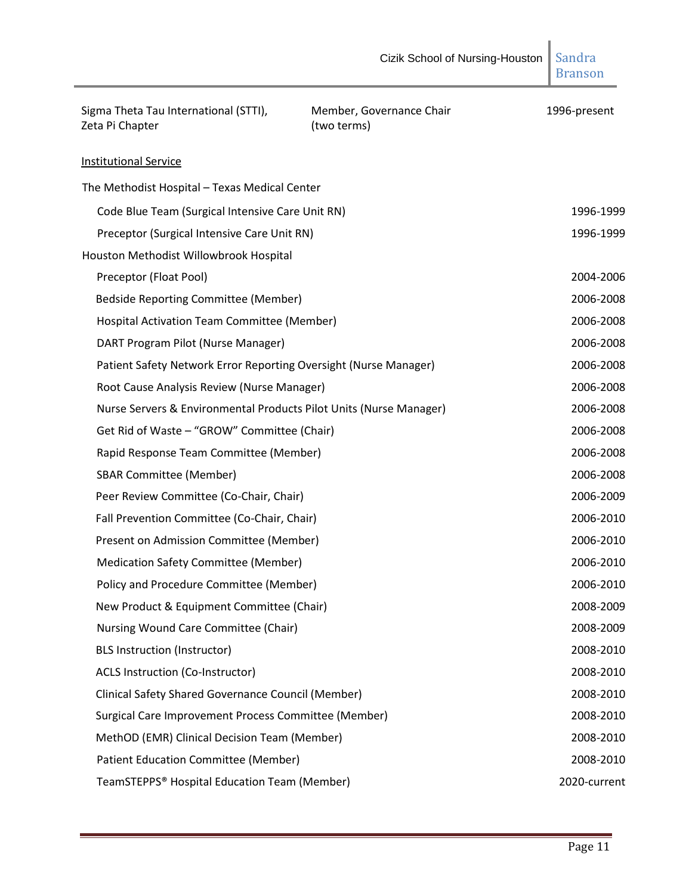| Sigma Theta Tau International (STTI),<br>Zeta Pi Chapter           | Member, Governance Chair<br>(two terms) | 1996-present |
|--------------------------------------------------------------------|-----------------------------------------|--------------|
| <b>Institutional Service</b>                                       |                                         |              |
| The Methodist Hospital - Texas Medical Center                      |                                         |              |
| Code Blue Team (Surgical Intensive Care Unit RN)                   |                                         | 1996-1999    |
| Preceptor (Surgical Intensive Care Unit RN)                        |                                         | 1996-1999    |
| Houston Methodist Willowbrook Hospital                             |                                         |              |
| Preceptor (Float Pool)                                             |                                         | 2004-2006    |
| Bedside Reporting Committee (Member)                               |                                         | 2006-2008    |
| Hospital Activation Team Committee (Member)                        |                                         | 2006-2008    |
| DART Program Pilot (Nurse Manager)                                 |                                         | 2006-2008    |
| Patient Safety Network Error Reporting Oversight (Nurse Manager)   |                                         | 2006-2008    |
| Root Cause Analysis Review (Nurse Manager)                         |                                         | 2006-2008    |
| Nurse Servers & Environmental Products Pilot Units (Nurse Manager) |                                         | 2006-2008    |
| Get Rid of Waste - "GROW" Committee (Chair)                        |                                         | 2006-2008    |
| Rapid Response Team Committee (Member)                             |                                         | 2006-2008    |
| <b>SBAR Committee (Member)</b>                                     |                                         | 2006-2008    |
| Peer Review Committee (Co-Chair, Chair)                            |                                         | 2006-2009    |
| Fall Prevention Committee (Co-Chair, Chair)                        |                                         | 2006-2010    |
| Present on Admission Committee (Member)                            |                                         | 2006-2010    |
| <b>Medication Safety Committee (Member)</b>                        |                                         | 2006-2010    |
| Policy and Procedure Committee (Member)                            |                                         | 2006-2010    |
| New Product & Equipment Committee (Chair)                          |                                         | 2008-2009    |
| Nursing Wound Care Committee (Chair)                               |                                         | 2008-2009    |
| <b>BLS Instruction (Instructor)</b>                                |                                         | 2008-2010    |
| <b>ACLS Instruction (Co-Instructor)</b>                            |                                         | 2008-2010    |
| <b>Clinical Safety Shared Governance Council (Member)</b>          |                                         | 2008-2010    |
| Surgical Care Improvement Process Committee (Member)               |                                         | 2008-2010    |
| MethOD (EMR) Clinical Decision Team (Member)                       |                                         | 2008-2010    |
| Patient Education Committee (Member)                               |                                         | 2008-2010    |
| TeamSTEPPS® Hospital Education Team (Member)                       |                                         | 2020-current |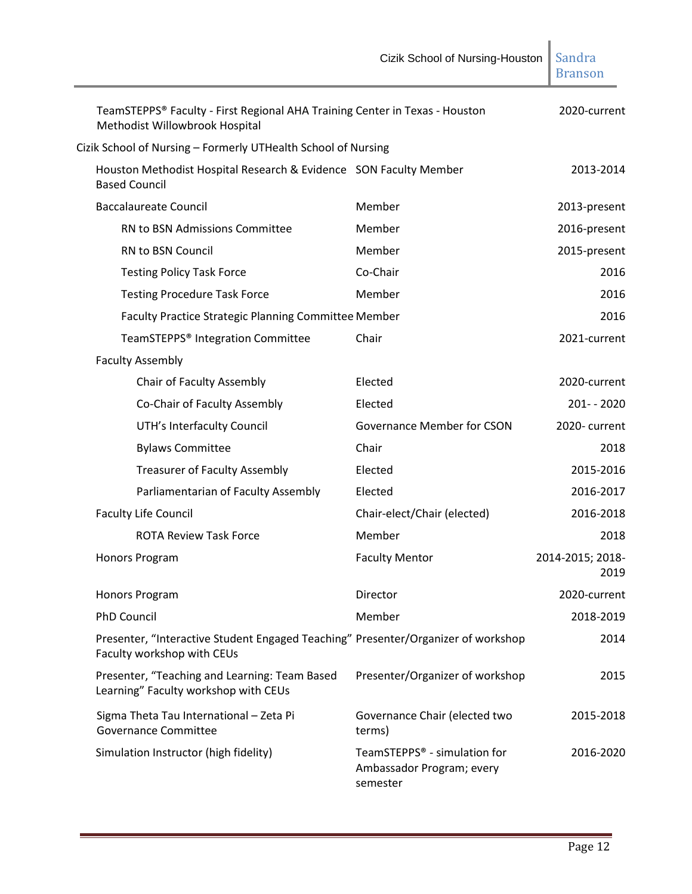|                                                                                                                 | Cizik School of Nursing-Houston                                       | Sandra<br><b>Branson</b> |
|-----------------------------------------------------------------------------------------------------------------|-----------------------------------------------------------------------|--------------------------|
| TeamSTEPPS® Faculty - First Regional AHA Training Center in Texas - Houston<br>Methodist Willowbrook Hospital   |                                                                       | 2020-current             |
| Cizik School of Nursing - Formerly UTHealth School of Nursing                                                   |                                                                       |                          |
| Houston Methodist Hospital Research & Evidence SON Faculty Member<br><b>Based Council</b>                       |                                                                       | 2013-2014                |
| <b>Baccalaureate Council</b>                                                                                    | Member                                                                | 2013-present             |
| RN to BSN Admissions Committee                                                                                  | Member                                                                | 2016-present             |
| <b>RN to BSN Council</b>                                                                                        | Member                                                                | 2015-present             |
| <b>Testing Policy Task Force</b>                                                                                | Co-Chair                                                              | 2016                     |
| <b>Testing Procedure Task Force</b>                                                                             | Member                                                                | 2016                     |
| Faculty Practice Strategic Planning Committee Member                                                            |                                                                       | 2016                     |
| TeamSTEPPS <sup>®</sup> Integration Committee                                                                   | Chair                                                                 | 2021-current             |
| <b>Faculty Assembly</b>                                                                                         |                                                                       |                          |
| Chair of Faculty Assembly                                                                                       | Elected                                                               | 2020-current             |
| Co-Chair of Faculty Assembly                                                                                    | Elected                                                               | 201-2020                 |
| UTH's Interfaculty Council                                                                                      | <b>Governance Member for CSON</b>                                     | 2020-current             |
| <b>Bylaws Committee</b>                                                                                         | Chair                                                                 | 2018                     |
| <b>Treasurer of Faculty Assembly</b>                                                                            | Elected                                                               | 2015-2016                |
| Parliamentarian of Faculty Assembly                                                                             | Elected                                                               | 2016-2017                |
| <b>Faculty Life Council</b>                                                                                     | Chair-elect/Chair (elected)                                           | 2016-2018                |
| <b>ROTA Review Task Force</b>                                                                                   | Member                                                                | 2018                     |
| Honors Program                                                                                                  | <b>Faculty Mentor</b>                                                 | 2014-2015; 2018-<br>2019 |
| Honors Program                                                                                                  | Director                                                              | 2020-current             |
| <b>PhD Council</b>                                                                                              | Member                                                                | 2018-2019                |
| Presenter, "Interactive Student Engaged Teaching" Presenter/Organizer of workshop<br>Faculty workshop with CEUs |                                                                       | 2014                     |
| Presenter, "Teaching and Learning: Team Based<br>Learning" Faculty workshop with CEUs                           | Presenter/Organizer of workshop                                       | 2015                     |
| Sigma Theta Tau International - Zeta Pi<br><b>Governance Committee</b>                                          | Governance Chair (elected two<br>terms)                               | 2015-2018                |
| Simulation Instructor (high fidelity)                                                                           | TeamSTEPPS® - simulation for<br>Ambassador Program; every<br>semester | 2016-2020                |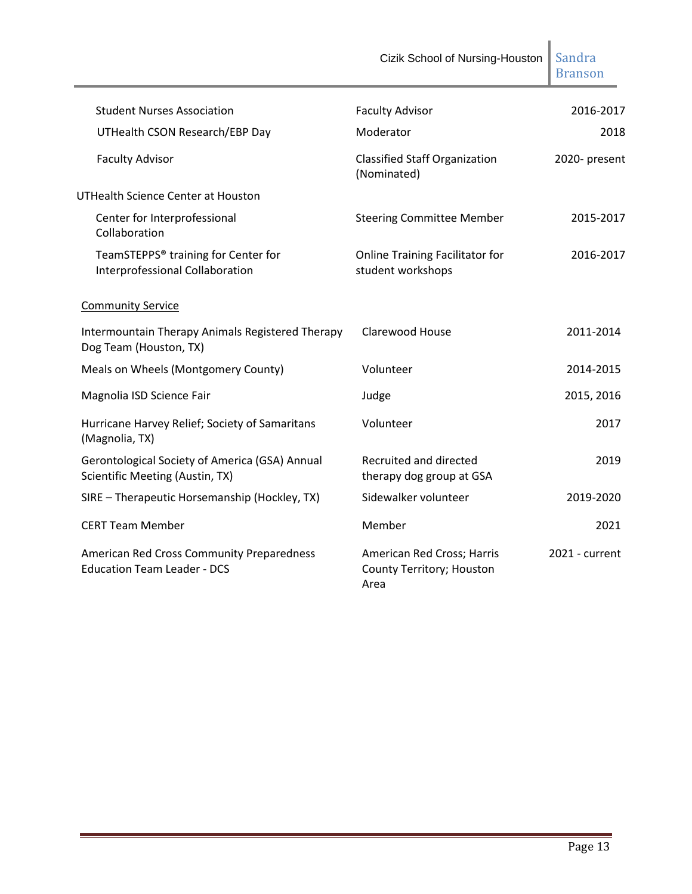|                                                                                   | Cizik School of Nursing-Houston                                 | Sandra<br><b>Branson</b> |
|-----------------------------------------------------------------------------------|-----------------------------------------------------------------|--------------------------|
| <b>Student Nurses Association</b>                                                 | <b>Faculty Advisor</b>                                          | 2016-2017                |
| UTHealth CSON Research/EBP Day                                                    | Moderator                                                       | 2018                     |
| <b>Faculty Advisor</b>                                                            | <b>Classified Staff Organization</b><br>(Nominated)             | 2020- present            |
| <b>UTHealth Science Center at Houston</b>                                         |                                                                 |                          |
| Center for Interprofessional<br>Collaboration                                     | <b>Steering Committee Member</b>                                | 2015-2017                |
| TeamSTEPPS® training for Center for<br>Interprofessional Collaboration            | <b>Online Training Facilitator for</b><br>student workshops     | 2016-2017                |
| <b>Community Service</b>                                                          |                                                                 |                          |
| Intermountain Therapy Animals Registered Therapy<br>Dog Team (Houston, TX)        | <b>Clarewood House</b>                                          | 2011-2014                |
| Meals on Wheels (Montgomery County)                                               | Volunteer                                                       | 2014-2015                |
| Magnolia ISD Science Fair                                                         | Judge                                                           | 2015, 2016               |
| Hurricane Harvey Relief; Society of Samaritans<br>(Magnolia, TX)                  | Volunteer                                                       | 2017                     |
| Gerontological Society of America (GSA) Annual<br>Scientific Meeting (Austin, TX) | Recruited and directed<br>therapy dog group at GSA              | 2019                     |
| SIRE - Therapeutic Horsemanship (Hockley, TX)                                     | Sidewalker volunteer                                            | 2019-2020                |
| <b>CERT Team Member</b>                                                           | Member                                                          | 2021                     |
| American Red Cross Community Preparedness<br><b>Education Team Leader - DCS</b>   | American Red Cross; Harris<br>County Territory; Houston<br>Area | 2021 - current           |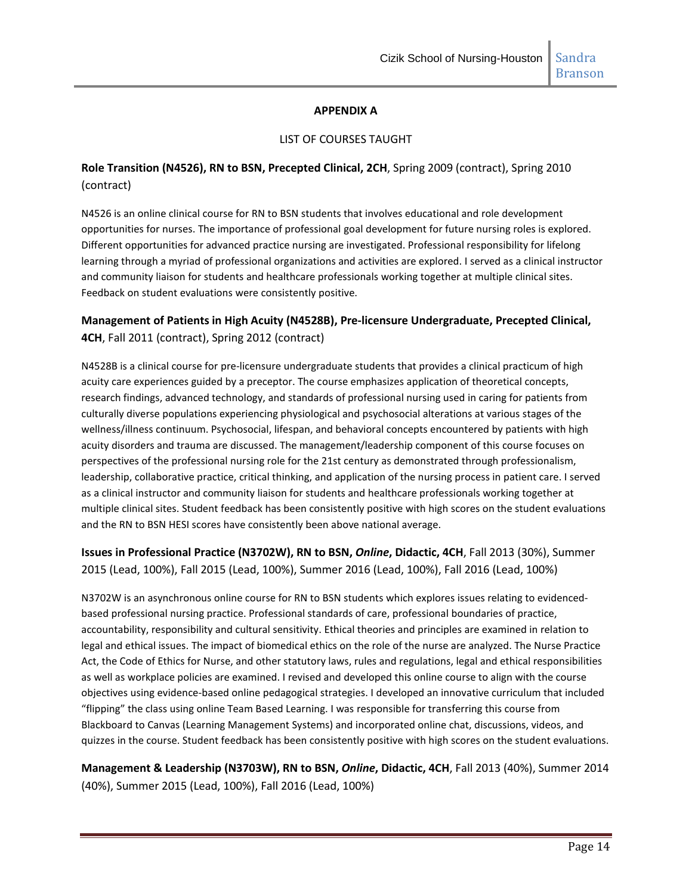#### **APPENDIX A**

#### LIST OF COURSES TAUGHT

## **Role Transition (N4526), RN to BSN, Precepted Clinical, 2CH**, Spring 2009 (contract), Spring 2010 (contract)

N4526 is an online clinical course for RN to BSN students that involves educational and role development opportunities for nurses. The importance of professional goal development for future nursing roles is explored. Different opportunities for advanced practice nursing are investigated. Professional responsibility for lifelong learning through a myriad of professional organizations and activities are explored. I served as a clinical instructor and community liaison for students and healthcare professionals working together at multiple clinical sites. Feedback on student evaluations were consistently positive.

## **Management of Patients in High Acuity (N4528B), Pre-licensure Undergraduate, Precepted Clinical, 4CH**, Fall 2011 (contract), Spring 2012 (contract)

N4528B is a clinical course for pre-licensure undergraduate students that provides a clinical practicum of high acuity care experiences guided by a preceptor. The course emphasizes application of theoretical concepts, research findings, advanced technology, and standards of professional nursing used in caring for patients from culturally diverse populations experiencing physiological and psychosocial alterations at various stages of the wellness/illness continuum. Psychosocial, lifespan, and behavioral concepts encountered by patients with high acuity disorders and trauma are discussed. The management/leadership component of this course focuses on perspectives of the professional nursing role for the 21st century as demonstrated through professionalism, leadership, collaborative practice, critical thinking, and application of the nursing process in patient care. I served as a clinical instructor and community liaison for students and healthcare professionals working together at multiple clinical sites. Student feedback has been consistently positive with high scores on the student evaluations and the RN to BSN HESI scores have consistently been above national average.

**Issues in Professional Practice (N3702W), RN to BSN,** *Online***, Didactic, 4CH**, Fall 2013 (30%), Summer 2015 (Lead, 100%), Fall 2015 (Lead, 100%), Summer 2016 (Lead, 100%), Fall 2016 (Lead, 100%)

N3702W is an asynchronous online course for RN to BSN students which explores issues relating to evidencedbased professional nursing practice. Professional standards of care, professional boundaries of practice, accountability, responsibility and cultural sensitivity. Ethical theories and principles are examined in relation to legal and ethical issues. The impact of biomedical ethics on the role of the nurse are analyzed. The Nurse Practice Act, the Code of Ethics for Nurse, and other statutory laws, rules and regulations, legal and ethical responsibilities as well as workplace policies are examined. I revised and developed this online course to align with the course objectives using evidence-based online pedagogical strategies. I developed an innovative curriculum that included "flipping" the class using online Team Based Learning. I was responsible for transferring this course from Blackboard to Canvas (Learning Management Systems) and incorporated online chat, discussions, videos, and quizzes in the course. Student feedback has been consistently positive with high scores on the student evaluations.

**Management & Leadership (N3703W), RN to BSN,** *Online***, Didactic, 4CH**, Fall 2013 (40%), Summer 2014 (40%), Summer 2015 (Lead, 100%), Fall 2016 (Lead, 100%)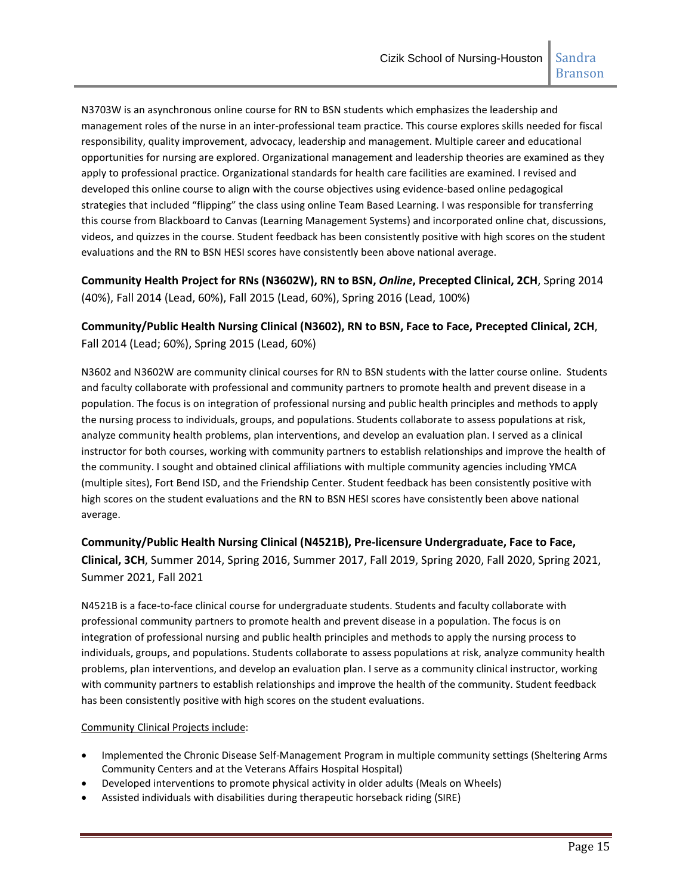N3703W is an asynchronous online course for RN to BSN students which emphasizes the leadership and management roles of the nurse in an inter-professional team practice. This course explores skills needed for fiscal responsibility, quality improvement, advocacy, leadership and management. Multiple career and educational opportunities for nursing are explored. Organizational management and leadership theories are examined as they apply to professional practice. Organizational standards for health care facilities are examined. I revised and developed this online course to align with the course objectives using evidence-based online pedagogical strategies that included "flipping" the class using online Team Based Learning. I was responsible for transferring this course from Blackboard to Canvas (Learning Management Systems) and incorporated online chat, discussions, videos, and quizzes in the course. Student feedback has been consistently positive with high scores on the student evaluations and the RN to BSN HESI scores have consistently been above national average.

**Community Health Project for RNs (N3602W), RN to BSN,** *Online***, Precepted Clinical, 2CH**, Spring 2014 (40%), Fall 2014 (Lead, 60%), Fall 2015 (Lead, 60%), Spring 2016 (Lead, 100%)

**Community/Public Health Nursing Clinical (N3602), RN to BSN, Face to Face, Precepted Clinical, 2CH**, Fall 2014 (Lead; 60%), Spring 2015 (Lead, 60%)

N3602 and N3602W are community clinical courses for RN to BSN students with the latter course online. Students and faculty collaborate with professional and community partners to promote health and prevent disease in a population. The focus is on integration of professional nursing and public health principles and methods to apply the nursing process to individuals, groups, and populations. Students collaborate to assess populations at risk, analyze community health problems, plan interventions, and develop an evaluation plan. I served as a clinical instructor for both courses, working with community partners to establish relationships and improve the health of the community. I sought and obtained clinical affiliations with multiple community agencies including YMCA (multiple sites), Fort Bend ISD, and the Friendship Center. Student feedback has been consistently positive with high scores on the student evaluations and the RN to BSN HESI scores have consistently been above national average.

**Community/Public Health Nursing Clinical (N4521B), Pre-licensure Undergraduate, Face to Face, Clinical, 3CH**, Summer 2014, Spring 2016, Summer 2017, Fall 2019, Spring 2020, Fall 2020, Spring 2021, Summer 2021, Fall 2021

N4521B is a face-to-face clinical course for undergraduate students. Students and faculty collaborate with professional community partners to promote health and prevent disease in a population. The focus is on integration of professional nursing and public health principles and methods to apply the nursing process to individuals, groups, and populations. Students collaborate to assess populations at risk, analyze community health problems, plan interventions, and develop an evaluation plan. I serve as a community clinical instructor, working with community partners to establish relationships and improve the health of the community. Student feedback has been consistently positive with high scores on the student evaluations.

#### Community Clinical Projects include:

- Implemented the Chronic Disease Self-Management Program in multiple community settings (Sheltering Arms Community Centers and at the Veterans Affairs Hospital Hospital)
- Developed interventions to promote physical activity in older adults (Meals on Wheels)
- Assisted individuals with disabilities during therapeutic horseback riding (SIRE)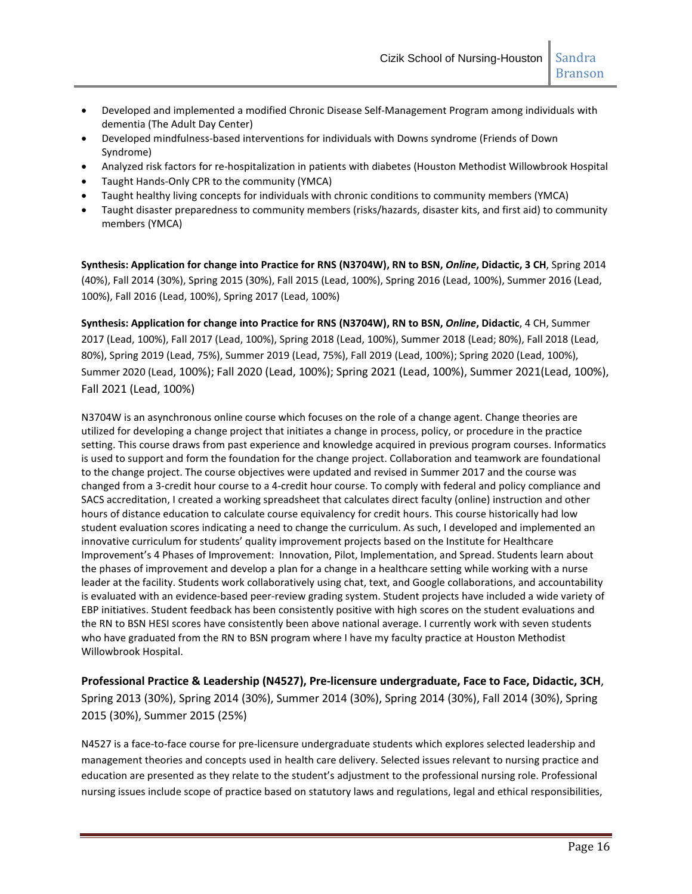- Developed and implemented a modified Chronic Disease Self-Management Program among individuals with dementia (The Adult Day Center)
- Developed mindfulness-based interventions for individuals with Downs syndrome (Friends of Down Syndrome)
- Analyzed risk factors for re-hospitalization in patients with diabetes (Houston Methodist Willowbrook Hospital
- Taught Hands-Only CPR to the community (YMCA)
- Taught healthy living concepts for individuals with chronic conditions to community members (YMCA)
- Taught disaster preparedness to community members (risks/hazards, disaster kits, and first aid) to community members (YMCA)

**Synthesis: Application for change into Practice for RNS (N3704W), RN to BSN,** *Online***, Didactic, 3 CH**, Spring 2014 (40%), Fall 2014 (30%), Spring 2015 (30%), Fall 2015 (Lead, 100%), Spring 2016 (Lead, 100%), Summer 2016 (Lead, 100%), Fall 2016 (Lead, 100%), Spring 2017 (Lead, 100%)

**Synthesis: Application for change into Practice for RNS (N3704W), RN to BSN,** *Online***, Didactic**, 4 CH, Summer 2017 (Lead, 100%), Fall 2017 (Lead, 100%), Spring 2018 (Lead, 100%), Summer 2018 (Lead; 80%), Fall 2018 (Lead, 80%), Spring 2019 (Lead, 75%), Summer 2019 (Lead, 75%), Fall 2019 (Lead, 100%); Spring 2020 (Lead, 100%), Summer 2020 (Lead, 100%); Fall 2020 (Lead, 100%); Spring 2021 (Lead, 100%), Summer 2021(Lead, 100%), Fall 2021 (Lead, 100%)

N3704W is an asynchronous online course which focuses on the role of a change agent. Change theories are utilized for developing a change project that initiates a change in process, policy, or procedure in the practice setting. This course draws from past experience and knowledge acquired in previous program courses. Informatics is used to support and form the foundation for the change project. Collaboration and teamwork are foundational to the change project. The course objectives were updated and revised in Summer 2017 and the course was changed from a 3-credit hour course to a 4-credit hour course. To comply with federal and policy compliance and SACS accreditation, I created a working spreadsheet that calculates direct faculty (online) instruction and other hours of distance education to calculate course equivalency for credit hours. This course historically had low student evaluation scores indicating a need to change the curriculum. As such, I developed and implemented an innovative curriculum for students' quality improvement projects based on the Institute for Healthcare Improvement's 4 Phases of Improvement: Innovation, Pilot, Implementation, and Spread. Students learn about the phases of improvement and develop a plan for a change in a healthcare setting while working with a nurse leader at the facility. Students work collaboratively using chat, text, and Google collaborations, and accountability is evaluated with an evidence-based peer-review grading system. Student projects have included a wide variety of EBP initiatives. Student feedback has been consistently positive with high scores on the student evaluations and the RN to BSN HESI scores have consistently been above national average. I currently work with seven students who have graduated from the RN to BSN program where I have my faculty practice at Houston Methodist Willowbrook Hospital.

**Professional Practice & Leadership (N4527), Pre-licensure undergraduate, Face to Face, Didactic, 3CH**, Spring 2013 (30%), Spring 2014 (30%), Summer 2014 (30%), Spring 2014 (30%), Fall 2014 (30%), Spring 2015 (30%), Summer 2015 (25%)

N4527 is a face-to-face course for pre-licensure undergraduate students which explores selected leadership and management theories and concepts used in health care delivery. Selected issues relevant to nursing practice and education are presented as they relate to the student's adjustment to the professional nursing role. Professional nursing issues include scope of practice based on statutory laws and regulations, legal and ethical responsibilities,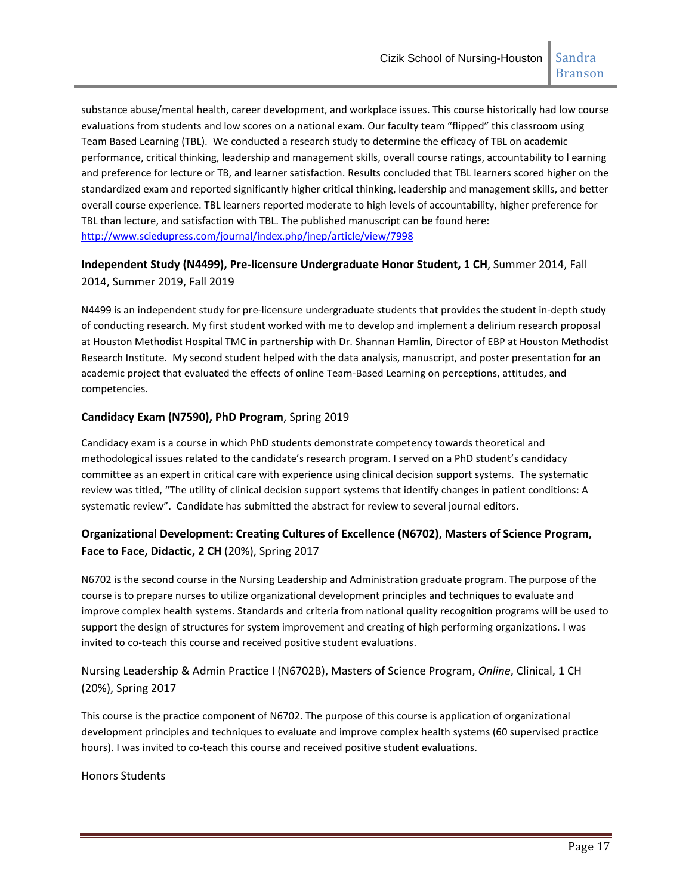substance abuse/mental health, career development, and workplace issues. This course historically had low course evaluations from students and low scores on a national exam. Our faculty team "flipped" this classroom using Team Based Learning (TBL). We conducted a research study to determine the efficacy of TBL on academic performance, critical thinking, leadership and management skills, overall course ratings, accountability to l earning and preference for lecture or TB, and learner satisfaction. Results concluded that TBL learners scored higher on the standardized exam and reported significantly higher critical thinking, leadership and management skills, and better overall course experience. TBL learners reported moderate to high levels of accountability, higher preference for TBL than lecture, and satisfaction with TBL. The published manuscript can be found here: <http://www.sciedupress.com/journal/index.php/jnep/article/view/7998>

# **Independent Study (N4499), Pre-licensure Undergraduate Honor Student, 1 CH**, Summer 2014, Fall 2014, Summer 2019, Fall 2019

N4499 is an independent study for pre-licensure undergraduate students that provides the student in-depth study of conducting research. My first student worked with me to develop and implement a delirium research proposal at Houston Methodist Hospital TMC in partnership with Dr. Shannan Hamlin, Director of EBP at Houston Methodist Research Institute. My second student helped with the data analysis, manuscript, and poster presentation for an academic project that evaluated the effects of online Team-Based Learning on perceptions, attitudes, and competencies.

## **Candidacy Exam (N7590), PhD Program**, Spring 2019

Candidacy exam is a course in which PhD students demonstrate competency towards theoretical and methodological issues related to the candidate's research program. I served on a PhD student's candidacy committee as an expert in critical care with experience using clinical decision support systems. The systematic review was titled, "The utility of clinical decision support systems that identify changes in patient conditions: A systematic review". Candidate has submitted the abstract for review to several journal editors.

# **Organizational Development: Creating Cultures of Excellence (N6702), Masters of Science Program, Face to Face, Didactic, 2 CH** (20%), Spring 2017

N6702 is the second course in the Nursing Leadership and Administration graduate program. The purpose of the course is to prepare nurses to utilize organizational development principles and techniques to evaluate and improve complex health systems. Standards and criteria from national quality recognition programs will be used to support the design of structures for system improvement and creating of high performing organizations. I was invited to co-teach this course and received positive student evaluations.

# Nursing Leadership & Admin Practice I (N6702B), Masters of Science Program, *Online*, Clinical, 1 CH (20%), Spring 2017

This course is the practice component of N6702. The purpose of this course is application of organizational development principles and techniques to evaluate and improve complex health systems (60 supervised practice hours). I was invited to co-teach this course and received positive student evaluations.

## Honors Students